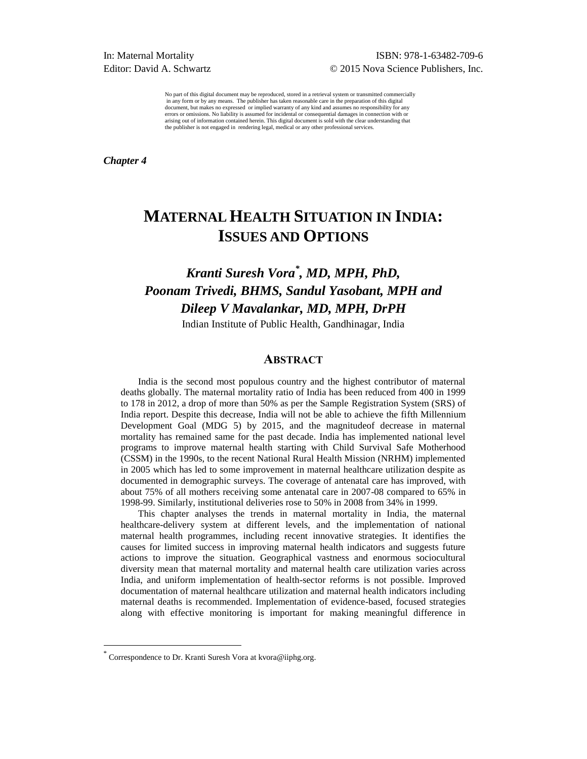No part of this digital document may be reproduced, stored in a retrieval system or transmitted commercially in any form or by any means. The publisher has taken reasonable care in the preparation of this digital document, but makes no expressed or implied warranty of any kind and assumes no responsibility for any errors or omissions. No liability is assumed for incidental or consequential damages in connection with or arising out of information contained herein. This digital document is sold with the clear understanding that the publisher is not engaged in rendering legal, medical or any other professional services.

*Chapter 4* 

# **MATERNAL HEALTH SITUATION IN INDIA: ISSUES AND OPTIONS**

# *Kranti Suresh Vora\* , MD, MPH, PhD, Poonam Trivedi, BHMS, Sandul Yasobant, MPH and Dileep V Mavalankar, MD, MPH, DrPH*

Indian Institute of Public Health, Gandhinagar, India

## **ABSTRACT**

India is the second most populous country and the highest contributor of maternal deaths globally. The maternal mortality ratio of India has been reduced from 400 in 1999 to 178 in 2012, a drop of more than 50% as per the Sample Registration System (SRS) of India report. Despite this decrease, India will not be able to achieve the fifth Millennium Development Goal (MDG 5) by 2015, and the magnitudeof decrease in maternal mortality has remained same for the past decade. India has implemented national level programs to improve maternal health starting with Child Survival Safe Motherhood (CSSM) in the 1990s, to the recent National Rural Health Mission (NRHM) implemented in 2005 which has led to some improvement in maternal healthcare utilization despite as documented in demographic surveys. The coverage of antenatal care has improved, with about 75% of all mothers receiving some antenatal care in 2007-08 compared to 65% in 1998-99. Similarly, institutional deliveries rose to 50% in 2008 from 34% in 1999.

This chapter analyses the trends in maternal mortality in India, the maternal healthcare-delivery system at different levels, and the implementation of national maternal health programmes, including recent innovative strategies. It identifies the causes for limited success in improving maternal health indicators and suggests future actions to improve the situation. Geographical vastness and enormous sociocultural diversity mean that maternal mortality and maternal health care utilization varies across India, and uniform implementation of health-sector reforms is not possible. Improved documentation of maternal healthcare utilization and maternal health indicators including maternal deaths is recommended. Implementation of evidence-based, focused strategies along with effective monitoring is important for making meaningful difference in

 $\overline{a}$ 

<sup>\*</sup> Correspondence to Dr. Kranti Suresh Vora at kvora@iiphg.org.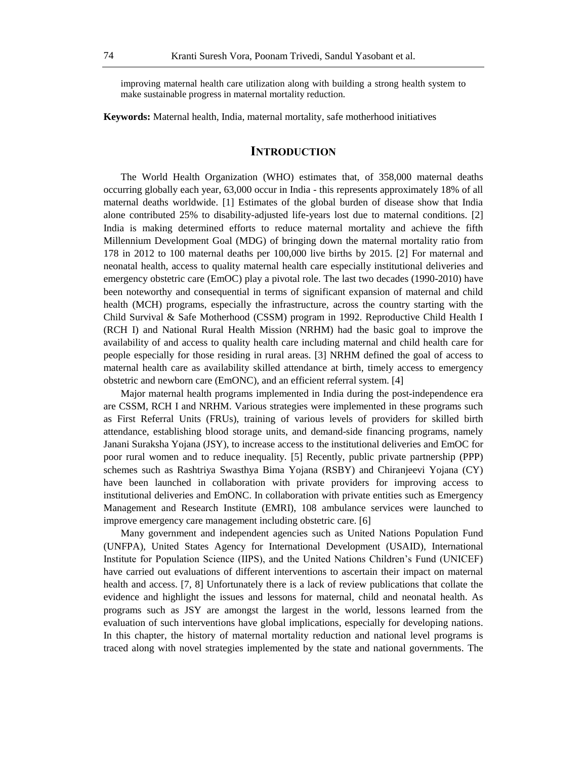improving maternal health care utilization along with building a strong health system to make sustainable progress in maternal mortality reduction.

**Keywords:** Maternal health, India, maternal mortality, safe motherhood initiatives

# **INTRODUCTION**

The World Health Organization (WHO) estimates that, of 358,000 maternal deaths occurring globally each year, 63,000 occur in India - this represents approximately 18% of all maternal deaths worldwide. [1] Estimates of the global burden of disease show that India alone contributed 25% to disability-adjusted life-years lost due to maternal conditions. [2] India is making determined efforts to reduce maternal mortality and achieve the fifth Millennium Development Goal (MDG) of bringing down the maternal mortality ratio from 178 in 2012 to 100 maternal deaths per 100,000 live births by 2015. [2] For maternal and neonatal health, access to quality maternal health care especially institutional deliveries and emergency obstetric care (EmOC) play a pivotal role. The last two decades (1990-2010) have been noteworthy and consequential in terms of significant expansion of maternal and child health (MCH) programs, especially the infrastructure, across the country starting with the Child Survival & Safe Motherhood (CSSM) program in 1992. Reproductive Child Health I (RCH I) and National Rural Health Mission (NRHM) had the basic goal to improve the availability of and access to quality health care including maternal and child health care for people especially for those residing in rural areas. [3] NRHM defined the goal of access to maternal health care as availability skilled attendance at birth, timely access to emergency obstetric and newborn care (EmONC), and an efficient referral system. [4]

Major maternal health programs implemented in India during the post-independence era are CSSM, RCH I and NRHM. Various strategies were implemented in these programs such as First Referral Units (FRUs), training of various levels of providers for skilled birth attendance, establishing blood storage units, and demand-side financing programs, namely Janani Suraksha Yojana (JSY), to increase access to the institutional deliveries and EmOC for poor rural women and to reduce inequality. [5] Recently, public private partnership (PPP) schemes such as Rashtriya Swasthya Bima Yojana (RSBY) and Chiranjeevi Yojana (CY) have been launched in collaboration with private providers for improving access to institutional deliveries and EmONC. In collaboration with private entities such as Emergency Management and Research Institute (EMRI), 108 ambulance services were launched to improve emergency care management including obstetric care. [6]

Many government and independent agencies such as United Nations Population Fund (UNFPA), United States Agency for International Development (USAID), International Institute for Population Science (IIPS), and the United Nations Children's Fund (UNICEF) have carried out evaluations of different interventions to ascertain their impact on maternal health and access. [7, 8] Unfortunately there is a lack of review publications that collate the evidence and highlight the issues and lessons for maternal, child and neonatal health. As programs such as JSY are amongst the largest in the world, lessons learned from the evaluation of such interventions have global implications, especially for developing nations. In this chapter, the history of maternal mortality reduction and national level programs is traced along with novel strategies implemented by the state and national governments. The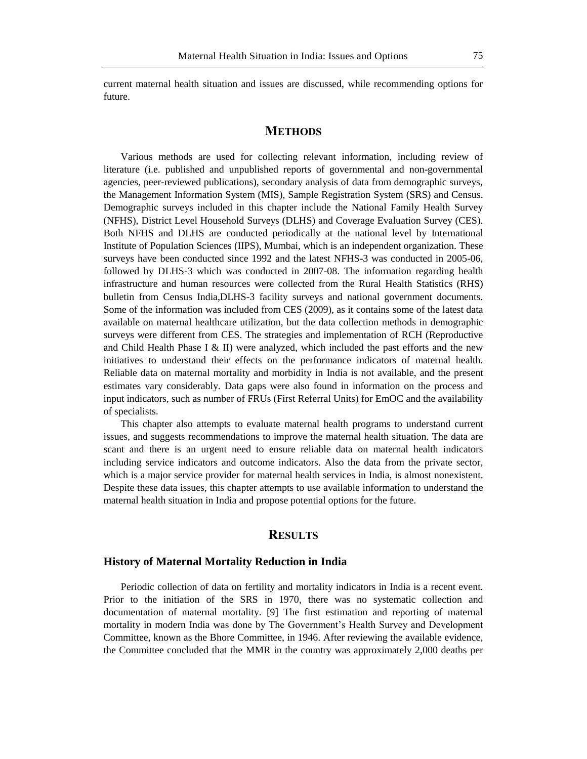current maternal health situation and issues are discussed, while recommending options for future.

# **METHODS**

Various methods are used for collecting relevant information, including review of literature (i.e. published and unpublished reports of governmental and non-governmental agencies, peer-reviewed publications), secondary analysis of data from demographic surveys, the Management Information System (MIS), Sample Registration System (SRS) and Census. Demographic surveys included in this chapter include the National Family Health Survey (NFHS), District Level Household Surveys (DLHS) and Coverage Evaluation Survey (CES). Both NFHS and DLHS are conducted periodically at the national level by International Institute of Population Sciences (IIPS), Mumbai, which is an independent organization. These surveys have been conducted since 1992 and the latest NFHS-3 was conducted in 2005-06, followed by DLHS-3 which was conducted in 2007-08. The information regarding health infrastructure and human resources were collected from the Rural Health Statistics (RHS) bulletin from Census India,DLHS-3 facility surveys and national government documents. Some of the information was included from CES (2009), as it contains some of the latest data available on maternal healthcare utilization, but the data collection methods in demographic surveys were different from CES. The strategies and implementation of RCH (Reproductive and Child Health Phase I & II) were analyzed, which included the past efforts and the new initiatives to understand their effects on the performance indicators of maternal health. Reliable data on maternal mortality and morbidity in India is not available, and the present estimates vary considerably. Data gaps were also found in information on the process and input indicators, such as number of FRUs (First Referral Units) for EmOC and the availability of specialists.

This chapter also attempts to evaluate maternal health programs to understand current issues, and suggests recommendations to improve the maternal health situation. The data are scant and there is an urgent need to ensure reliable data on maternal health indicators including service indicators and outcome indicators. Also the data from the private sector, which is a major service provider for maternal health services in India, is almost nonexistent. Despite these data issues, this chapter attempts to use available information to understand the maternal health situation in India and propose potential options for the future.

# **RESULTS**

#### **History of Maternal Mortality Reduction in India**

Periodic collection of data on fertility and mortality indicators in India is a recent event. Prior to the initiation of the SRS in 1970, there was no systematic collection and documentation of maternal mortality. [9] The first estimation and reporting of maternal mortality in modern India was done by The Government's Health Survey and Development Committee, known as the Bhore Committee, in 1946. After reviewing the available evidence, the Committee concluded that the MMR in the country was approximately 2,000 deaths per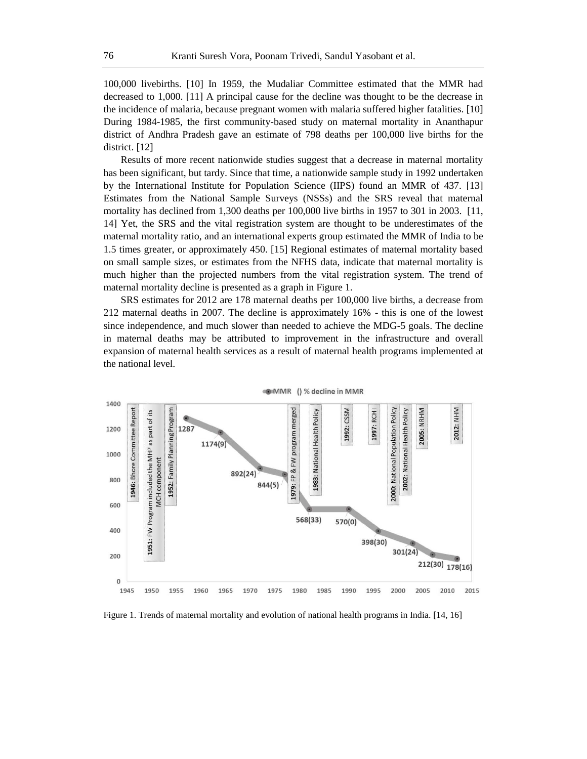100,000 livebirths. [10] In 1959, the Mudaliar Committee estimated that the MMR had decreased to 1,000. [11] A principal cause for the decline was thought to be the decrease in the incidence of malaria, because pregnant women with malaria suffered higher fatalities. [10] During 1984-1985, the first community-based study on maternal mortality in Ananthapur district of Andhra Pradesh gave an estimate of 798 deaths per 100,000 live births for the district. [12]

Results of more recent nationwide studies suggest that a decrease in maternal mortality has been significant, but tardy. Since that time, a nationwide sample study in 1992 undertaken by the International Institute for Population Science (IIPS) found an MMR of 437. [13] Estimates from the National Sample Surveys (NSSs) and the SRS reveal that maternal mortality has declined from 1,300 deaths per 100,000 live births in 1957 to 301 in 2003. [11, 14] Yet, the SRS and the vital registration system are thought to be underestimates of the maternal mortality ratio, and an international experts group estimated the MMR of India to be 1.5 times greater, or approximately 450. [15] Regional estimates of maternal mortality based on small sample sizes, or estimates from the NFHS data, indicate that maternal mortality is much higher than the projected numbers from the vital registration system. The trend of maternal mortality decline is presented as a graph in Figure 1.

SRS estimates for 2012 are 178 maternal deaths per 100,000 live births, a decrease from 212 maternal deaths in 2007. The decline is approximately 16% - this is one of the lowest since independence, and much slower than needed to achieve the MDG-5 goals. The decline in maternal deaths may be attributed to improvement in the infrastructure and overall expansion of maternal health services as a result of maternal health programs implemented at the national level.



Figure 1. Trends of maternal mortality and evolution of national health programs in India. [14, 16]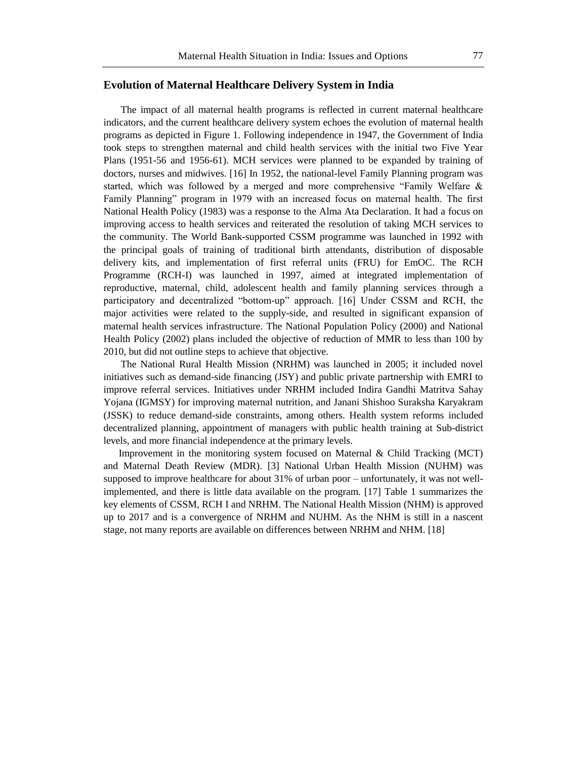## **Evolution of Maternal Healthcare Delivery System in India**

The impact of all maternal health programs is reflected in current maternal healthcare indicators, and the current healthcare delivery system echoes the evolution of maternal health programs as depicted in Figure 1. Following independence in 1947, the Government of India took steps to strengthen maternal and child health services with the initial two Five Year Plans (1951-56 and 1956-61). MCH services were planned to be expanded by training of doctors, nurses and midwives. [16] In 1952, the national-level Family Planning program was started, which was followed by a merged and more comprehensive "Family Welfare  $\&$ Family Planning" program in 1979 with an increased focus on maternal health. The first National Health Policy (1983) was a response to the Alma Ata Declaration. It had a focus on improving access to health services and reiterated the resolution of taking MCH services to the community. The World Bank-supported CSSM programme was launched in 1992 with the principal goals of training of traditional birth attendants, distribution of disposable delivery kits, and implementation of first referral units (FRU) for EmOC. The RCH Programme (RCH-I) was launched in 1997, aimed at integrated implementation of reproductive, maternal, child, adolescent health and family planning services through a participatory and decentralized "bottom-up" approach. [16] Under CSSM and RCH, the major activities were related to the supply-side, and resulted in significant expansion of maternal health services infrastructure. The National Population Policy (2000) and National Health Policy (2002) plans included the objective of reduction of MMR to less than 100 by 2010, but did not outline steps to achieve that objective.

The National Rural Health Mission (NRHM) was launched in 2005; it included novel initiatives such as demand-side financing (JSY) and public private partnership with EMRI to improve referral services. Initiatives under NRHM included Indira Gandhi Matritva Sahay Yojana (IGMSY) for improving maternal nutrition, and Janani Shishoo Suraksha Karyakram (JSSK) to reduce demand-side constraints, among others. Health system reforms included decentralized planning, appointment of managers with public health training at Sub-district levels, and more financial independence at the primary levels.

 Improvement in the monitoring system focused on Maternal & Child Tracking (MCT) and Maternal Death Review (MDR). [3] National Urban Health Mission (NUHM) was supposed to improve healthcare for about 31% of urban poor – unfortunately, it was not wellimplemented, and there is little data available on the program. [17] Table 1 summarizes the key elements of CSSM, RCH I and NRHM. The National Health Mission (NHM) is approved up to 2017 and is a convergence of NRHM and NUHM. As the NHM is still in a nascent stage, not many reports are available on differences between NRHM and NHM. [18]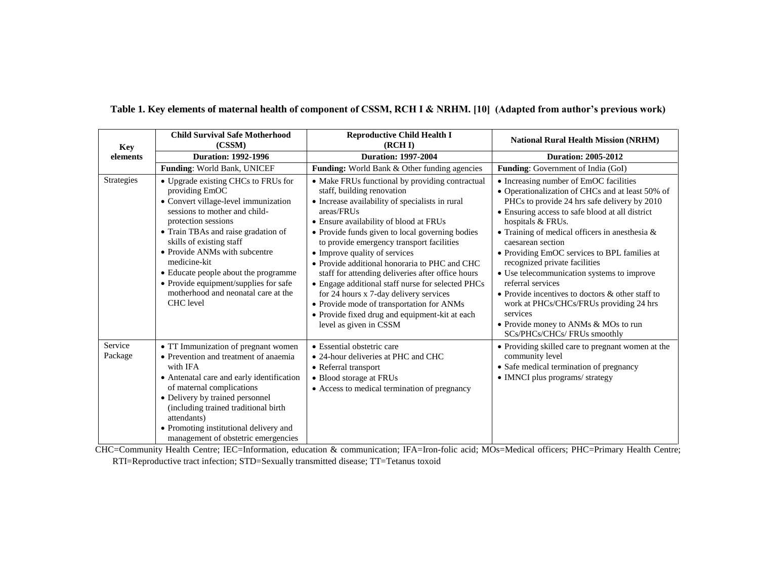| <b>Key</b>         | <b>Child Survival Safe Motherhood</b><br>(CSSM)                                                                                                                                                                                                                                                                                                                                                                       | <b>Reproductive Child Health I</b><br>(RCH <sub>D</sub> )                                                                                                                                                                                                                                                                                                                                                                                                                                                                                                                                                                                               | <b>National Rural Health Mission (NRHM)</b>                                                                                                                                                                                                                                                                                                                                                                                                                                                                                                                                                                                         |
|--------------------|-----------------------------------------------------------------------------------------------------------------------------------------------------------------------------------------------------------------------------------------------------------------------------------------------------------------------------------------------------------------------------------------------------------------------|---------------------------------------------------------------------------------------------------------------------------------------------------------------------------------------------------------------------------------------------------------------------------------------------------------------------------------------------------------------------------------------------------------------------------------------------------------------------------------------------------------------------------------------------------------------------------------------------------------------------------------------------------------|-------------------------------------------------------------------------------------------------------------------------------------------------------------------------------------------------------------------------------------------------------------------------------------------------------------------------------------------------------------------------------------------------------------------------------------------------------------------------------------------------------------------------------------------------------------------------------------------------------------------------------------|
| elements           | <b>Duration: 1992-1996</b>                                                                                                                                                                                                                                                                                                                                                                                            | <b>Duration: 1997-2004</b>                                                                                                                                                                                                                                                                                                                                                                                                                                                                                                                                                                                                                              | <b>Duration: 2005-2012</b>                                                                                                                                                                                                                                                                                                                                                                                                                                                                                                                                                                                                          |
|                    | Funding: World Bank, UNICEF                                                                                                                                                                                                                                                                                                                                                                                           | Funding: World Bank & Other funding agencies                                                                                                                                                                                                                                                                                                                                                                                                                                                                                                                                                                                                            | <b>Funding:</b> Government of India (GoI)                                                                                                                                                                                                                                                                                                                                                                                                                                                                                                                                                                                           |
| Strategies         | • Upgrade existing CHCs to FRUs for<br>providing EmOC<br>• Convert village-level immunization<br>sessions to mother and child-<br>protection sessions<br>• Train TBAs and raise gradation of<br>skills of existing staff<br>• Provide ANMs with subcentre<br>medicine-kit<br>• Educate people about the programme<br>• Provide equipment/supplies for safe<br>motherhood and neonatal care at the<br><b>CHC</b> level | • Make FRUs functional by providing contractual<br>staff, building renovation<br>• Increase availability of specialists in rural<br>areas/FRUs<br>• Ensure availability of blood at FRUs<br>• Provide funds given to local governing bodies<br>to provide emergency transport facilities<br>• Improve quality of services<br>• Provide additional honoraria to PHC and CHC<br>staff for attending deliveries after office hours<br>• Engage additional staff nurse for selected PHCs<br>for 24 hours x 7-day delivery services<br>• Provide mode of transportation for ANMs<br>• Provide fixed drug and equipment-kit at each<br>level as given in CSSM | • Increasing number of EmOC facilities<br>• Operationalization of CHCs and at least 50% of<br>PHCs to provide 24 hrs safe delivery by 2010<br>• Ensuring access to safe blood at all district<br>hospitals & FRUs.<br>• Training of medical officers in anesthesia $\&$<br>caesarean section<br>• Providing EmOC services to BPL families at<br>recognized private facilities<br>• Use telecommunication systems to improve<br>referral services<br>• Provide incentives to doctors & other staff to<br>work at PHCs/CHCs/FRUs providing 24 hrs<br>services<br>• Provide money to ANMs & MOs to run<br>SCs/PHCs/CHCs/ FRUs smoothly |
| Service<br>Package | • TT Immunization of pregnant women<br>• Prevention and treatment of anaemia<br>with IFA<br>• Antenatal care and early identification<br>of maternal complications<br>• Delivery by trained personnel<br>(including trained traditional birth<br>attendants)<br>• Promoting institutional delivery and<br>management of obstetric emergencies                                                                         | • Essential obstetric care<br>• 24-hour deliveries at PHC and CHC<br>• Referral transport<br>• Blood storage at FRUs<br>• Access to medical termination of pregnancy                                                                                                                                                                                                                                                                                                                                                                                                                                                                                    | • Providing skilled care to pregnant women at the<br>community level<br>• Safe medical termination of pregnancy<br>• IMNCI plus programs/ strategy                                                                                                                                                                                                                                                                                                                                                                                                                                                                                  |

**Table 1. Key elements of maternal health of component of CSSM, RCH I & NRHM. [10] (Adapted from author's previous work)**

CHC=Community Health Centre; IEC=Information, education & communication; IFA=Iron-folic acid; MOs=Medical officers; PHC=Primary Health Centre; RTI=Reproductive tract infection; STD=Sexually transmitted disease; TT=Tetanus toxoid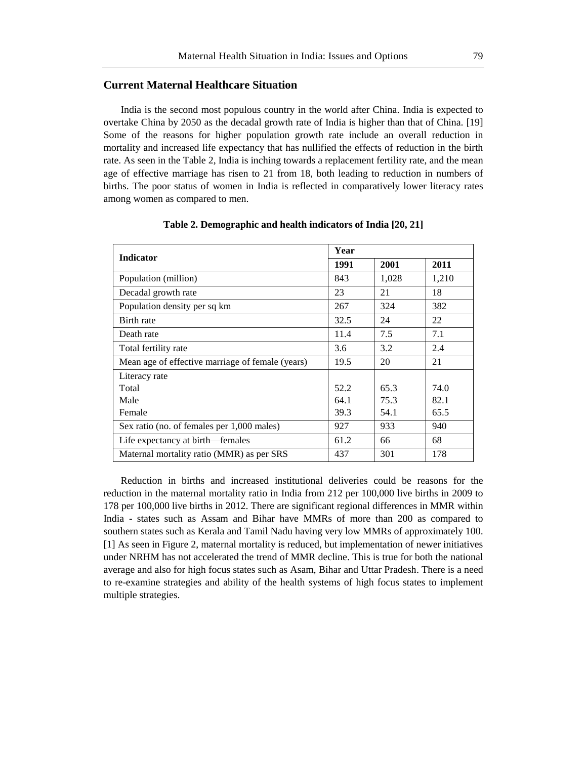# **Current Maternal Healthcare Situation**

India is the second most populous country in the world after China. India is expected to overtake China by 2050 as the decadal growth rate of India is higher than that of China. [19] Some of the reasons for higher population growth rate include an overall reduction in mortality and increased life expectancy that has nullified the effects of reduction in the birth rate. As seen in the Table 2, India is inching towards a replacement fertility rate, and the mean age of effective marriage has risen to 21 from 18, both leading to reduction in numbers of births. The poor status of women in India is reflected in comparatively lower literacy rates among women as compared to men.

| <b>Indicator</b>                                 | Year |       |       |  |
|--------------------------------------------------|------|-------|-------|--|
|                                                  | 1991 | 2001  | 2011  |  |
| Population (million)                             | 843  | 1,028 | 1,210 |  |
| Decadal growth rate                              | 23   | 21    | 18    |  |
| Population density per sq km                     | 267  | 324   | 382   |  |
| Birth rate                                       | 32.5 | 24    | 22    |  |
| Death rate                                       | 11.4 | 7.5   | 7.1   |  |
| Total fertility rate                             | 3.6  | 3.2   | 2.4   |  |
| Mean age of effective marriage of female (years) | 19.5 | 20    | 21    |  |
| Literacy rate                                    |      |       |       |  |
| Total                                            | 52.2 | 65.3  | 74.0  |  |
| Male                                             | 64.1 | 75.3  | 82.1  |  |
| Female                                           | 39.3 | 54.1  | 65.5  |  |
| Sex ratio (no. of females per 1,000 males)       | 927  | 933   | 940   |  |
| Life expectancy at birth—females                 | 61.2 | 66    | 68    |  |
| Maternal mortality ratio (MMR) as per SRS        | 437  | 301   | 178   |  |

#### **Table 2. Demographic and health indicators of India [20, 21]**

Reduction in births and increased institutional deliveries could be reasons for the reduction in the maternal mortality ratio in India from 212 per 100,000 live births in 2009 to 178 per 100,000 live births in 2012. There are significant regional differences in MMR within India - states such as Assam and Bihar have MMRs of more than 200 as compared to southern states such as Kerala and Tamil Nadu having very low MMRs of approximately 100. [1] As seen in Figure 2, maternal mortality is reduced, but implementation of newer initiatives under NRHM has not accelerated the trend of MMR decline. This is true for both the national average and also for high focus states such as Asam, Bihar and Uttar Pradesh. There is a need to re-examine strategies and ability of the health systems of high focus states to implement multiple strategies.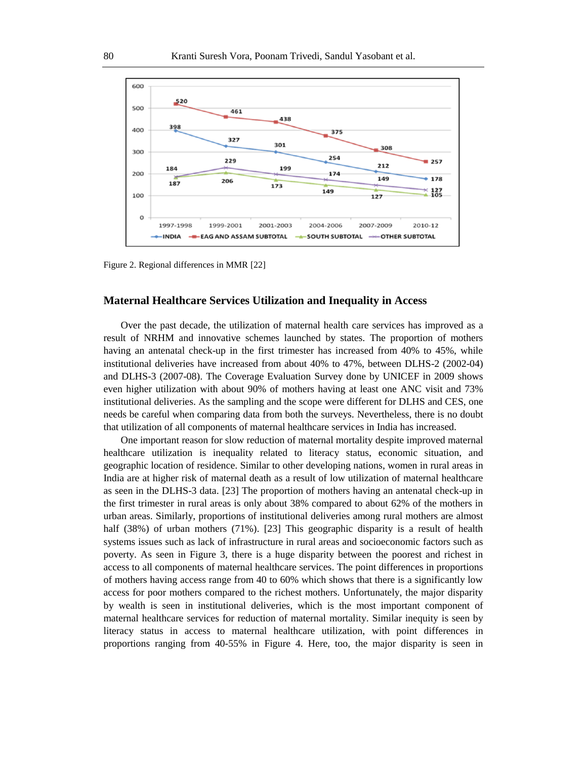

Figure 2. Regional differences in MMR [22]

# **Maternal Healthcare Services Utilization and Inequality in Access**

Over the past decade, the utilization of maternal health care services has improved as a result of NRHM and innovative schemes launched by states. The proportion of mothers having an antenatal check-up in the first trimester has increased from 40% to 45%, while institutional deliveries have increased from about 40% to 47%, between DLHS-2 (2002-04) and DLHS-3 (2007-08). The Coverage Evaluation Survey done by UNICEF in 2009 shows even higher utilization with about 90% of mothers having at least one ANC visit and 73% institutional deliveries. As the sampling and the scope were different for DLHS and CES, one needs be careful when comparing data from both the surveys. Nevertheless, there is no doubt that utilization of all components of maternal healthcare services in India has increased.

One important reason for slow reduction of maternal mortality despite improved maternal healthcare utilization is inequality related to literacy status, economic situation, and geographic location of residence. Similar to other developing nations, women in rural areas in India are at higher risk of maternal death as a result of low utilization of maternal healthcare as seen in the DLHS-3 data. [23] The proportion of mothers having an antenatal check-up in the first trimester in rural areas is only about 38% compared to about 62% of the mothers in urban areas. Similarly, proportions of institutional deliveries among rural mothers are almost half (38%) of urban mothers (71%). [23] This geographic disparity is a result of health systems issues such as lack of infrastructure in rural areas and socioeconomic factors such as poverty. As seen in Figure 3, there is a huge disparity between the poorest and richest in access to all components of maternal healthcare services. The point differences in proportions of mothers having access range from 40 to 60% which shows that there is a significantly low access for poor mothers compared to the richest mothers. Unfortunately, the major disparity by wealth is seen in institutional deliveries, which is the most important component of maternal healthcare services for reduction of maternal mortality. Similar inequity is seen by literacy status in access to maternal healthcare utilization, with point differences in proportions ranging from 40-55% in Figure 4. Here, too, the major disparity is seen in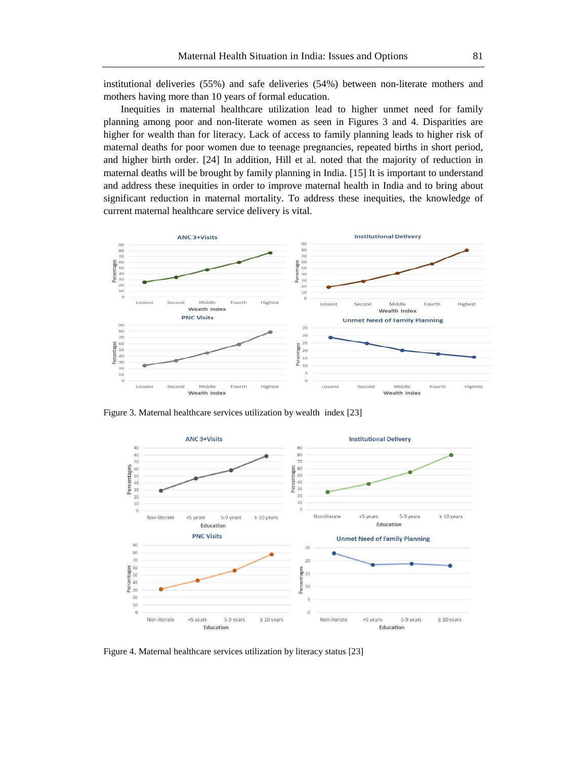institutional deliveries (55%) and safe deliveries (54%) between non-literate mothers and mothers having more than 10 years of formal education.

Inequities in maternal healthcare utilization lead to higher unmet need for family planning among poor and non-literate women as seen in Figures 3 and 4. Disparities are higher for wealth than for literacy. Lack of access to family planning leads to higher risk of maternal deaths for poor women due to teenage pregnancies, repeated births in short period, and higher birth order. [24] In addition, Hill et al. noted that the majority of reduction in maternal deaths will be brought by family planning in India. [15] It is important to understand and address these inequities in order to improve maternal health in India and to bring about significant reduction in maternal mortality. To address these inequities, the knowledge of current maternal healthcare service delivery is vital.



Figure 3. Maternal healthcare services utilization by wealth index [23]



Figure 4. Maternal healthcare services utilization by literacy status [23]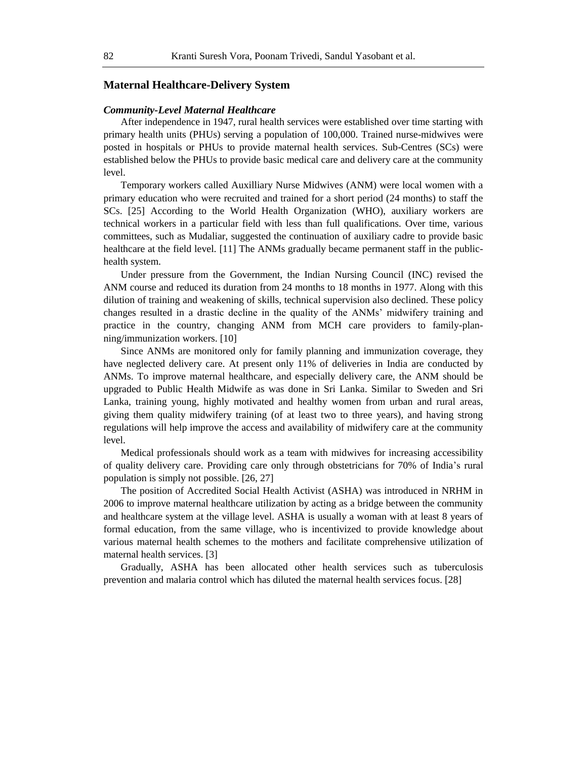# **Maternal Healthcare-Delivery System**

#### *Community-Level Maternal Healthcare*

After independence in 1947, rural health services were established over time starting with primary health units (PHUs) serving a population of 100,000. Trained nurse-midwives were posted in hospitals or PHUs to provide maternal health services. Sub-Centres (SCs) were established below the PHUs to provide basic medical care and delivery care at the community level.

Temporary workers called Auxilliary Nurse Midwives (ANM) were local women with a primary education who were recruited and trained for a short period (24 months) to staff the SCs. [25] According to the World Health Organization (WHO), auxiliary workers are technical workers in a particular field with less than full qualifications*.* Over time, various committees, such as Mudaliar, suggested the continuation of auxiliary cadre to provide basic healthcare at the field level. [11] The ANMs gradually became permanent staff in the publichealth system.

Under pressure from the Government, the Indian Nursing Council (INC) revised the ANM course and reduced its duration from 24 months to 18 months in 1977. Along with this dilution of training and weakening of skills, technical supervision also declined. These policy changes resulted in a drastic decline in the quality of the ANMs' midwifery training and practice in the country, changing ANM from MCH care providers to family-planning/immunization workers. [10]

Since ANMs are monitored only for family planning and immunization coverage, they have neglected delivery care. At present only 11% of deliveries in India are conducted by ANMs. To improve maternal healthcare, and especially delivery care, the ANM should be upgraded to Public Health Midwife as was done in Sri Lanka. Similar to Sweden and Sri Lanka, training young, highly motivated and healthy women from urban and rural areas, giving them quality midwifery training (of at least two to three years), and having strong regulations will help improve the access and availability of midwifery care at the community level.

Medical professionals should work as a team with midwives for increasing accessibility of quality delivery care. Providing care only through obstetricians for 70% of India's rural population is simply not possible. [26, 27]

The position of Accredited Social Health Activist (ASHA) was introduced in NRHM in 2006 to improve maternal healthcare utilization by acting as a bridge between the community and healthcare system at the village level. ASHA is usually a woman with at least 8 years of formal education, from the same village, who is incentivized to provide knowledge about various maternal health schemes to the mothers and facilitate comprehensive utilization of maternal health services. [3]

Gradually, ASHA has been allocated other health services such as tuberculosis prevention and malaria control which has diluted the maternal health services focus. [28]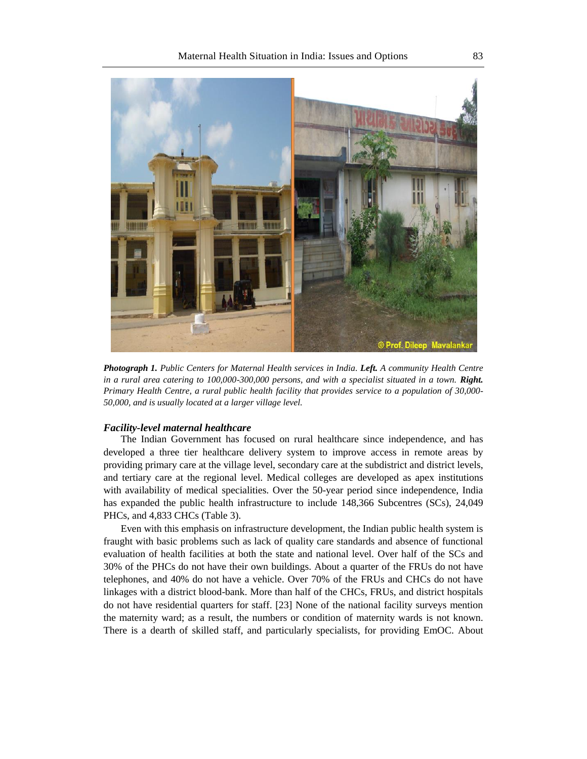

*Photograph 1. Public Centers for Maternal Health services in India. Left. A community Health Centre in a rural area catering to 100,000-300,000 persons, and with a specialist situated in a town. Right. Primary Health Centre, a rural public health facility that provides service to a population of 30,000- 50,000, and is usually located at a larger village level.*

#### *Facility-level maternal healthcare*

The Indian Government has focused on rural healthcare since independence, and has developed a three tier healthcare delivery system to improve access in remote areas by providing primary care at the village level, secondary care at the subdistrict and district levels, and tertiary care at the regional level. Medical colleges are developed as apex institutions with availability of medical specialities. Over the 50-year period since independence, India has expanded the public health infrastructure to include 148,366 Subcentres (SCs), 24,049 PHCs, and 4,833 CHCs (Table 3).

Even with this emphasis on infrastructure development, the Indian public health system is fraught with basic problems such as lack of quality care standards and absence of functional evaluation of health facilities at both the state and national level. Over half of the SCs and 30% of the PHCs do not have their own buildings. About a quarter of the FRUs do not have telephones, and 40% do not have a vehicle. Over 70% of the FRUs and CHCs do not have linkages with a district blood-bank. More than half of the CHCs, FRUs, and district hospitals do not have residential quarters for staff. [23] None of the national facility surveys mention the maternity ward; as a result, the numbers or condition of maternity wards is not known. There is a dearth of skilled staff, and particularly specialists, for providing EmOC. About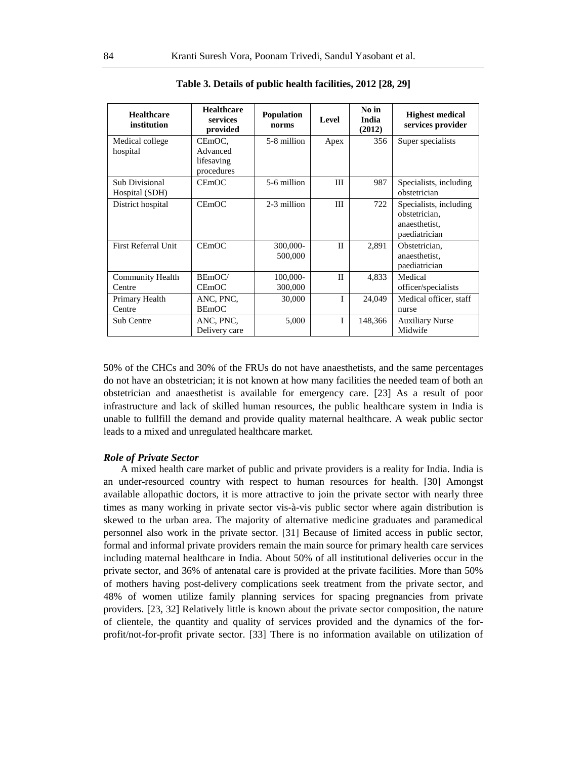| <b>Healthcare</b><br>institution  | <b>Healthcare</b><br>services<br>provided      | <b>Population</b><br>norms | Level        | No in<br>India<br>(2012) | <b>Highest medical</b><br>services provider                               |
|-----------------------------------|------------------------------------------------|----------------------------|--------------|--------------------------|---------------------------------------------------------------------------|
| Medical college<br>hospital       | CEmOC.<br>Advanced<br>lifesaving<br>procedures | 5-8 million                | Apex         | 356                      | Super specialists                                                         |
| Sub Divisional<br>Hospital (SDH)  | CEmOC                                          | 5-6 million                | Ш            | 987                      | Specialists, including<br>obstetrician                                    |
| District hospital                 | <b>CEmOC</b>                                   | 2-3 million                | III          | 722                      | Specialists, including<br>obstetrician,<br>anaesthetist,<br>paediatrician |
| First Referral Unit               | CEmOC                                          | 300,000-<br>500,000        | $\mathbf{I}$ | 2,891                    | Obstetrician.<br>anaesthetist,<br>paediatrician                           |
| <b>Community Health</b><br>Centre | BEmOC/<br>CEmOC                                | 100,000-<br>300,000        | $\mathbf{I}$ | 4,833                    | Medical<br>officer/specialists                                            |
| Primary Health<br>Centre          | ANC, PNC,<br><b>BEmOC</b>                      | 30,000                     | T            | 24,049                   | Medical officer, staff<br>nurse                                           |
| Sub Centre                        | ANC, PNC,<br>Delivery care                     | 5,000                      | I            | 148,366                  | <b>Auxiliary Nurse</b><br>Midwife                                         |

**Table 3. Details of public health facilities, 2012 [28, 29]**

50% of the CHCs and 30% of the FRUs do not have anaesthetists, and the same percentages do not have an obstetrician; it is not known at how many facilities the needed team of both an obstetrician and anaesthetist is available for emergency care. [23] As a result of poor infrastructure and lack of skilled human resources, the public healthcare system in India is unable to fullfill the demand and provide quality maternal healthcare. A weak public sector leads to a mixed and unregulated healthcare market.

#### *Role of Private Sector*

A mixed health care market of public and private providers is a reality for India. India is an under-resourced country with respect to human resources for health. [30] Amongst available allopathic doctors, it is more attractive to join the private sector with nearly three times as many working in private sector vis-à-vis public sector where again distribution is skewed to the urban area. The majority of alternative medicine graduates and paramedical personnel also work in the private sector. [31] Because of limited access in public sector, formal and informal private providers remain the main source for primary health care services including maternal healthcare in India. About 50% of all institutional deliveries occur in the private sector, and 36% of antenatal care is provided at the private facilities. More than 50% of mothers having post-delivery complications seek treatment from the private sector, and 48% of women utilize family planning services for spacing pregnancies from private providers. [23, 32] Relatively little is known about the private sector composition, the nature of clientele, the quantity and quality of services provided and the dynamics of the forprofit/not-for-profit private sector. [33] There is no information available on utilization of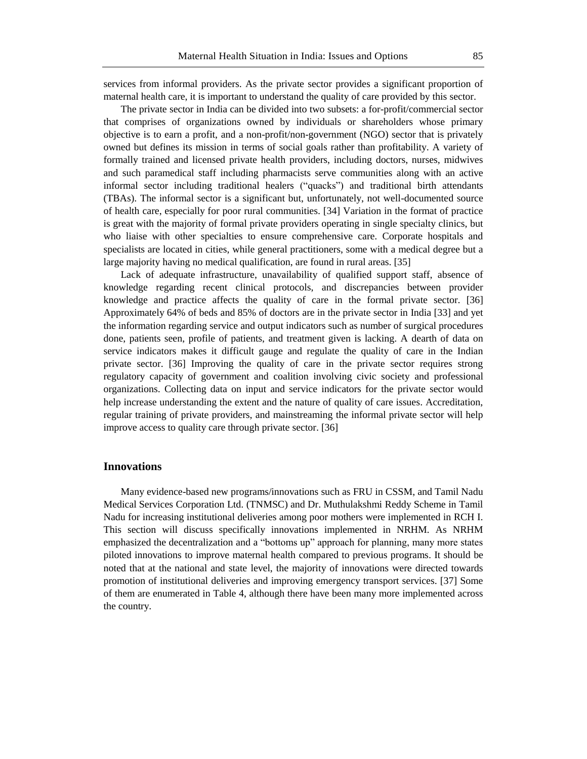services from informal providers. As the private sector provides a significant proportion of maternal health care, it is important to understand the quality of care provided by this sector.

The private sector in India can be divided into two subsets: a for-profit/commercial sector that comprises of organizations owned by individuals or shareholders whose primary objective is to earn a profit, and a non-profit/non-government (NGO) sector that is privately owned but defines its mission in terms of social goals rather than profitability. A variety of formally trained and licensed private health providers, including doctors, nurses, midwives and such paramedical staff including pharmacists serve communities along with an active informal sector including traditional healers ("quacks") and traditional birth attendants (TBAs). The informal sector is a significant but, unfortunately, not well-documented source of health care, especially for poor rural communities. [34] Variation in the format of practice is great with the majority of formal private providers operating in single specialty clinics, but who liaise with other specialties to ensure comprehensive care. Corporate hospitals and specialists are located in cities, while general practitioners, some with a medical degree but a large majority having no medical qualification, are found in rural areas. [35]

Lack of adequate infrastructure, unavailability of qualified support staff, absence of knowledge regarding recent clinical protocols, and discrepancies between provider knowledge and practice affects the quality of care in the formal private sector. [36] Approximately 64% of beds and 85% of doctors are in the private sector in India [33] and yet the information regarding service and output indicators such as number of surgical procedures done, patients seen, profile of patients, and treatment given is lacking. A dearth of data on service indicators makes it difficult gauge and regulate the quality of care in the Indian private sector. [36] Improving the quality of care in the private sector requires strong regulatory capacity of government and coalition involving civic society and professional organizations. Collecting data on input and service indicators for the private sector would help increase understanding the extent and the nature of quality of care issues. Accreditation, regular training of private providers, and mainstreaming the informal private sector will help improve access to quality care through private sector. [36]

## **Innovations**

Many evidence-based new programs/innovations such as FRU in CSSM, and Tamil Nadu Medical Services Corporation Ltd. (TNMSC) and Dr. Muthulakshmi Reddy Scheme in Tamil Nadu for increasing institutional deliveries among poor mothers were implemented in RCH I. This section will discuss specifically innovations implemented in NRHM. As NRHM emphasized the decentralization and a "bottoms up" approach for planning, many more states piloted innovations to improve maternal health compared to previous programs. It should be noted that at the national and state level, the majority of innovations were directed towards promotion of institutional deliveries and improving emergency transport services. [37] Some of them are enumerated in Table 4, although there have been many more implemented across the country.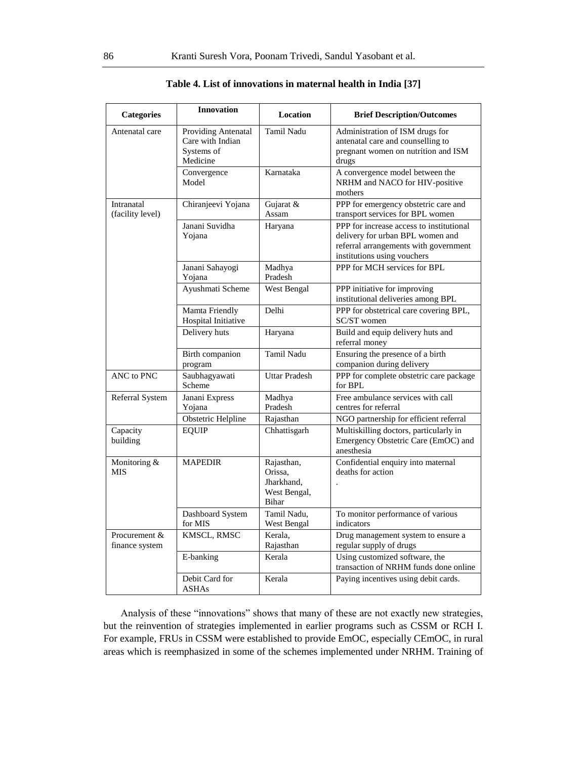| <b>Categories</b>               | <b>Innovation</b>                                                 | <b>Location</b>                                              | <b>Brief Description/Outcomes</b>                                                                                                                    |
|---------------------------------|-------------------------------------------------------------------|--------------------------------------------------------------|------------------------------------------------------------------------------------------------------------------------------------------------------|
| Antenatal care                  | Providing Antenatal<br>Care with Indian<br>Systems of<br>Medicine | <b>Tamil Nadu</b>                                            | Administration of ISM drugs for<br>antenatal care and counselling to<br>pregnant women on nutrition and ISM<br>drugs                                 |
|                                 | Convergence<br>Model                                              | Karnataka                                                    | A convergence model between the<br>NRHM and NACO for HIV-positive<br>mothers                                                                         |
| Intranatal<br>(facility level)  | Chiranjeevi Yojana                                                | Gujarat &<br>Assam                                           | PPP for emergency obstetric care and<br>transport services for BPL women                                                                             |
|                                 | Janani Suvidha<br>Yojana                                          | Haryana                                                      | PPP for increase access to institutional<br>delivery for urban BPL women and<br>referral arrangements with government<br>institutions using vouchers |
|                                 | Janani Sahayogi<br>Yojana                                         | Madhya<br>Pradesh                                            | PPP for MCH services for BPL                                                                                                                         |
|                                 | Ayushmati Scheme                                                  | West Bengal                                                  | PPP initiative for improving<br>institutional deliveries among BPL                                                                                   |
|                                 | Mamta Friendly<br>Hospital Initiative                             | Delhi                                                        | PPP for obstetrical care covering BPL,<br>SC/ST women                                                                                                |
|                                 | Delivery huts                                                     | Haryana                                                      | Build and equip delivery huts and<br>referral money                                                                                                  |
|                                 | Birth companion<br>program                                        | <b>Tamil Nadu</b>                                            | Ensuring the presence of a birth<br>companion during delivery                                                                                        |
| ANC to PNC                      | Saubhagyawati<br>Scheme                                           | <b>Uttar Pradesh</b>                                         | PPP for complete obstetric care package<br>for BPL                                                                                                   |
| Referral System                 | Janani Express<br>Yojana                                          | Madhya<br>Pradesh                                            | Free ambulance services with call<br>centres for referral                                                                                            |
|                                 | Obstetric Helpline                                                | Rajasthan                                                    | NGO partnership for efficient referral                                                                                                               |
| Capacity<br>building            | <b>EQUIP</b>                                                      | Chhattisgarh                                                 | Multiskilling doctors, particularly in<br>Emergency Obstetric Care (EmOC) and<br>anesthesia                                                          |
| Monitoring &<br><b>MIS</b>      | <b>MAPEDIR</b>                                                    | Rajasthan,<br>Orissa.<br>Jharkhand.<br>West Bengal,<br>Bihar | Confidential enquiry into maternal<br>deaths for action                                                                                              |
|                                 | Dashboard System<br>for MIS                                       | Tamil Nadu,<br>West Bengal                                   | To monitor performance of various<br>indicators                                                                                                      |
| Procurement &<br>finance system | KMSCL, RMSC                                                       | Kerala.<br>Rajasthan                                         | Drug management system to ensure a<br>regular supply of drugs                                                                                        |
|                                 | E-banking                                                         | Kerala                                                       | Using customized software, the<br>transaction of NRHM funds done online                                                                              |
|                                 | Debit Card for<br><b>ASHAs</b>                                    | Kerala                                                       | Paying incentives using debit cards.                                                                                                                 |

**Table 4. List of innovations in maternal health in India [37]**

Analysis of these "innovations" shows that many of these are not exactly new strategies, but the reinvention of strategies implemented in earlier programs such as CSSM or RCH I. For example, FRUs in CSSM were established to provide EmOC, especially CEmOC, in rural areas which is reemphasized in some of the schemes implemented under NRHM. Training of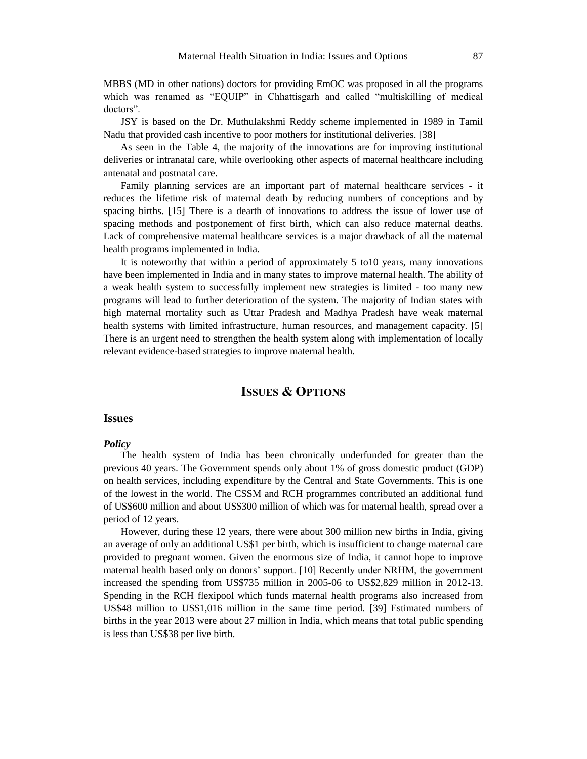MBBS (MD in other nations) doctors for providing EmOC was proposed in all the programs which was renamed as "EQUIP" in Chhattisgarh and called "multiskilling of medical doctors".

JSY is based on the Dr. Muthulakshmi Reddy scheme implemented in 1989 in Tamil Nadu that provided cash incentive to poor mothers for institutional deliveries. [38]

As seen in the Table 4, the majority of the innovations are for improving institutional deliveries or intranatal care, while overlooking other aspects of maternal healthcare including antenatal and postnatal care.

Family planning services are an important part of maternal healthcare services - it reduces the lifetime risk of maternal death by reducing numbers of conceptions and by spacing births. [15] There is a dearth of innovations to address the issue of lower use of spacing methods and postponement of first birth, which can also reduce maternal deaths. Lack of comprehensive maternal healthcare services is a major drawback of all the maternal health programs implemented in India.

It is noteworthy that within a period of approximately 5 to10 years, many innovations have been implemented in India and in many states to improve maternal health. The ability of a weak health system to successfully implement new strategies is limited - too many new programs will lead to further deterioration of the system. The majority of Indian states with high maternal mortality such as Uttar Pradesh and Madhya Pradesh have weak maternal health systems with limited infrastructure, human resources, and management capacity. [5] There is an urgent need to strengthen the health system along with implementation of locally relevant evidence-based strategies to improve maternal health.

# **ISSUES & OPTIONS**

#### **Issues**

#### *Policy*

The health system of India has been chronically underfunded for greater than the previous 40 years. The Government spends only about 1% of gross domestic product (GDP) on health services, including expenditure by the Central and State Governments. This is one of the lowest in the world. The CSSM and RCH programmes contributed an additional fund of US\$600 million and about US\$300 million of which was for maternal health, spread over a period of 12 years.

However, during these 12 years, there were about 300 million new births in India, giving an average of only an additional US\$1 per birth, which is insufficient to change maternal care provided to pregnant women. Given the enormous size of India, it cannot hope to improve maternal health based only on donors' support. [10] Recently under NRHM, the government increased the spending from US\$735 million in 2005-06 to US\$2,829 million in 2012-13. Spending in the RCH flexipool which funds maternal health programs also increased from US\$48 million to US\$1,016 million in the same time period. [39] Estimated numbers of births in the year 2013 were about 27 million in India, which means that total public spending is less than US\$38 per live birth.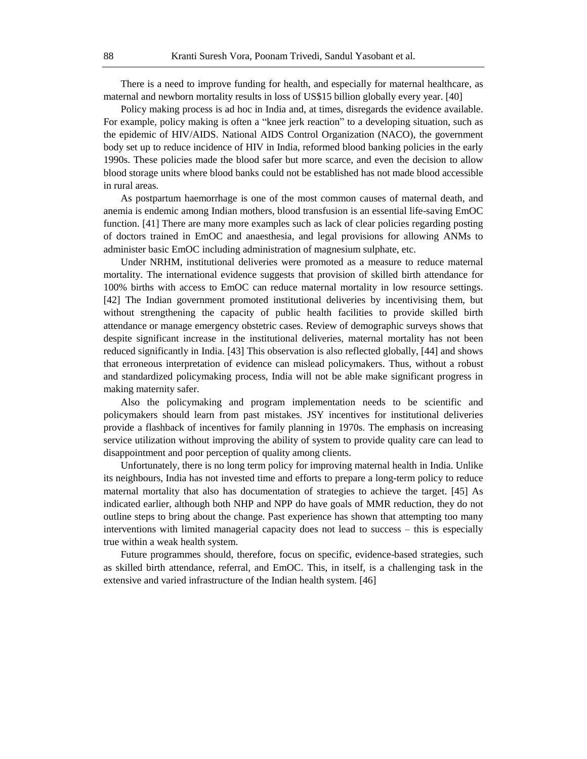There is a need to improve funding for health, and especially for maternal healthcare, as maternal and newborn mortality results in loss of US\$15 billion globally every year. [40]

Policy making process is ad hoc in India and, at times, disregards the evidence available. For example, policy making is often a "knee jerk reaction" to a developing situation, such as the epidemic of HIV/AIDS. National AIDS Control Organization (NACO), the government body set up to reduce incidence of HIV in India, reformed blood banking policies in the early 1990s. These policies made the blood safer but more scarce, and even the decision to allow blood storage units where blood banks could not be established has not made blood accessible in rural areas.

As postpartum haemorrhage is one of the most common causes of maternal death, and anemia is endemic among Indian mothers, blood transfusion is an essential life-saving EmOC function. [41] There are many more examples such as lack of clear policies regarding posting of doctors trained in EmOC and anaesthesia, and legal provisions for allowing ANMs to administer basic EmOC including administration of magnesium sulphate, etc.

Under NRHM, institutional deliveries were promoted as a measure to reduce maternal mortality. The international evidence suggests that provision of skilled birth attendance for 100% births with access to EmOC can reduce maternal mortality in low resource settings. [42] The Indian government promoted institutional deliveries by incentivising them, but without strengthening the capacity of public health facilities to provide skilled birth attendance or manage emergency obstetric cases. Review of demographic surveys shows that despite significant increase in the institutional deliveries, maternal mortality has not been reduced significantly in India. [43] This observation is also reflected globally, [44] and shows that erroneous interpretation of evidence can mislead policymakers. Thus, without a robust and standardized policymaking process, India will not be able make significant progress in making maternity safer.

Also the policymaking and program implementation needs to be scientific and policymakers should learn from past mistakes. JSY incentives for institutional deliveries provide a flashback of incentives for family planning in 1970s. The emphasis on increasing service utilization without improving the ability of system to provide quality care can lead to disappointment and poor perception of quality among clients.

Unfortunately, there is no long term policy for improving maternal health in India. Unlike its neighbours, India has not invested time and efforts to prepare a long-term policy to reduce maternal mortality that also has documentation of strategies to achieve the target. [45] As indicated earlier, although both NHP and NPP do have goals of MMR reduction, they do not outline steps to bring about the change. Past experience has shown that attempting too many interventions with limited managerial capacity does not lead to success – this is especially true within a weak health system.

Future programmes should, therefore, focus on specific, evidence-based strategies, such as skilled birth attendance, referral, and EmOC. This, in itself, is a challenging task in the extensive and varied infrastructure of the Indian health system. [46]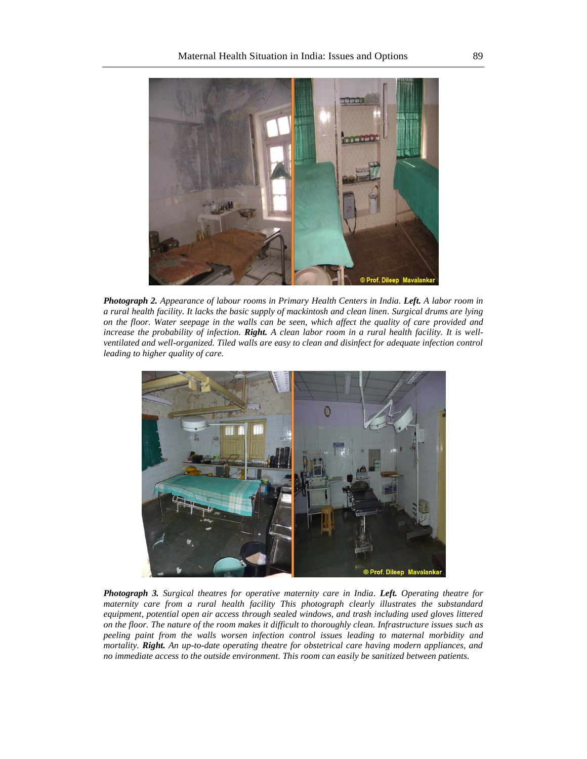

*Photograph 2. Appearance of labour rooms in Primary Health Centers in India. Left. A labor room in a rural health facility. It lacks the basic supply of mackintosh and clean linen. Surgical drums are lying on the floor. Water seepage in the walls can be seen, which affect the quality of care provided and increase the probability of infection. Right. A clean labor room in a rural health facility. It is wellventilated and well-organized. Tiled walls are easy to clean and disinfect for adequate infection control leading to higher quality of care.* 



*Photograph 3. Surgical theatres for operative maternity care in India. Left. Operating theatre for maternity care from a rural health facility This photograph clearly illustrates the substandard equipment, potential open air access through sealed windows, and trash including used gloves littered on the floor. The nature of the room makes it difficult to thoroughly clean. Infrastructure issues such as peeling paint from the walls worsen infection control issues leading to maternal morbidity and mortality. Right. An up-to-date operating theatre for obstetrical care having modern appliances, and no immediate access to the outside environment. This room can easily be sanitized between patients.*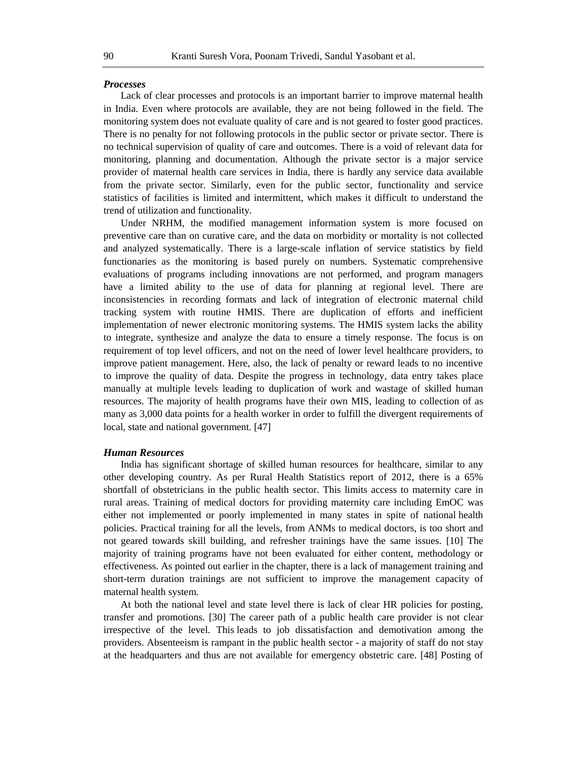#### *Processes*

Lack of clear processes and protocols is an important barrier to improve maternal health in India. Even where protocols are available, they are not being followed in the field. The monitoring system does not evaluate quality of care and is not geared to foster good practices. There is no penalty for not following protocols in the public sector or private sector. There is no technical supervision of quality of care and outcomes. There is a void of relevant data for monitoring, planning and documentation. Although the private sector is a major service provider of maternal health care services in India, there is hardly any service data available from the private sector. Similarly, even for the public sector, functionality and service statistics of facilities is limited and intermittent, which makes it difficult to understand the trend of utilization and functionality.

Under NRHM, the modified management information system is more focused on preventive care than on curative care, and the data on morbidity or mortality is not collected and analyzed systematically. There is a large-scale inflation of service statistics by field functionaries as the monitoring is based purely on numbers. Systematic comprehensive evaluations of programs including innovations are not performed, and program managers have a limited ability to the use of data for planning at regional level. There are inconsistencies in recording formats and lack of integration of electronic maternal child tracking system with routine HMIS. There are duplication of efforts and inefficient implementation of newer electronic monitoring systems. The HMIS system lacks the ability to integrate, synthesize and analyze the data to ensure a timely response. The focus is on requirement of top level officers, and not on the need of lower level healthcare providers, to improve patient management. Here, also, the lack of penalty or reward leads to no incentive to improve the quality of data. Despite the progress in technology, data entry takes place manually at multiple levels leading to duplication of work and wastage of skilled human resources. The majority of health programs have their own MIS, leading to collection of as many as 3,000 data points for a health worker in order to fulfill the divergent requirements of local, state and national government. [47]

#### *Human Resources*

India has significant shortage of skilled human resources for healthcare, similar to any other developing country. As per Rural Health Statistics report of 2012, there is a 65% shortfall of obstetricians in the public health sector. This limits access to maternity care in rural areas. Training of medical doctors for providing maternity care including EmOC was either not implemented or poorly implemented in many states in spite of national health policies. Practical training for all the levels, from ANMs to medical doctors, is too short and not geared towards skill building, and refresher trainings have the same issues. [10] The majority of training programs have not been evaluated for either content, methodology or effectiveness. As pointed out earlier in the chapter, there is a lack of management training and short-term duration trainings are not sufficient to improve the management capacity of maternal health system.

At both the national level and state level there is lack of clear HR policies for posting, transfer and promotions. [30] The career path of a public health care provider is not clear irrespective of the level. This leads to job dissatisfaction and demotivation among the providers. Absenteeism is rampant in the public health sector - a majority of staff do not stay at the headquarters and thus are not available for emergency obstetric care. [48] Posting of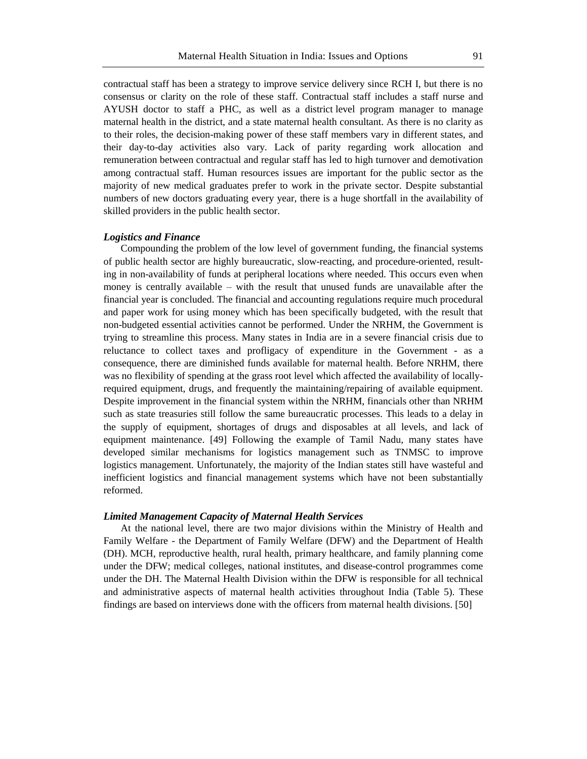contractual staff has been a strategy to improve service delivery since RCH I, but there is no consensus or clarity on the role of these staff. Contractual staff includes a staff nurse and AYUSH doctor to staff a PHC, as well as a district level program manager to manage maternal health in the district, and a state maternal health consultant. As there is no clarity as to their roles, the decision-making power of these staff members vary in different states, and their day-to-day activities also vary. Lack of parity regarding work allocation and remuneration between contractual and regular staff has led to high turnover and demotivation among contractual staff. Human resources issues are important for the public sector as the majority of new medical graduates prefer to work in the private sector. Despite substantial numbers of new doctors graduating every year, there is a huge shortfall in the availability of skilled providers in the public health sector.

### *Logistics and Finance*

Compounding the problem of the low level of government funding, the financial systems of public health sector are highly bureaucratic, slow-reacting, and procedure-oriented, resulting in non-availability of funds at peripheral locations where needed. This occurs even when money is centrally available – with the result that unused funds are unavailable after the financial year is concluded. The financial and accounting regulations require much procedural and paper work for using money which has been specifically budgeted, with the result that non-budgeted essential activities cannot be performed. Under the NRHM, the Government is trying to streamline this process. Many states in India are in a severe financial crisis due to reluctance to collect taxes and profligacy of expenditure in the Government - as a consequence, there are diminished funds available for maternal health. Before NRHM, there was no flexibility of spending at the grass root level which affected the availability of locallyrequired equipment, drugs, and frequently the maintaining/repairing of available equipment. Despite improvement in the financial system within the NRHM, financials other than NRHM such as state treasuries still follow the same bureaucratic processes. This leads to a delay in the supply of equipment, shortages of drugs and disposables at all levels, and lack of equipment maintenance. [49] Following the example of Tamil Nadu, many states have developed similar mechanisms for logistics management such as TNMSC to improve logistics management. Unfortunately, the majority of the Indian states still have wasteful and inefficient logistics and financial management systems which have not been substantially reformed.

#### *Limited Management Capacity of Maternal Health Services*

At the national level, there are two major divisions within the Ministry of Health and Family Welfare - the Department of Family Welfare (DFW) and the Department of Health (DH). MCH, reproductive health, rural health, primary healthcare, and family planning come under the DFW; medical colleges, national institutes, and disease-control programmes come under the DH. The Maternal Health Division within the DFW is responsible for all technical and administrative aspects of maternal health activities throughout India (Table 5). These findings are based on interviews done with the officers from maternal health divisions. [50]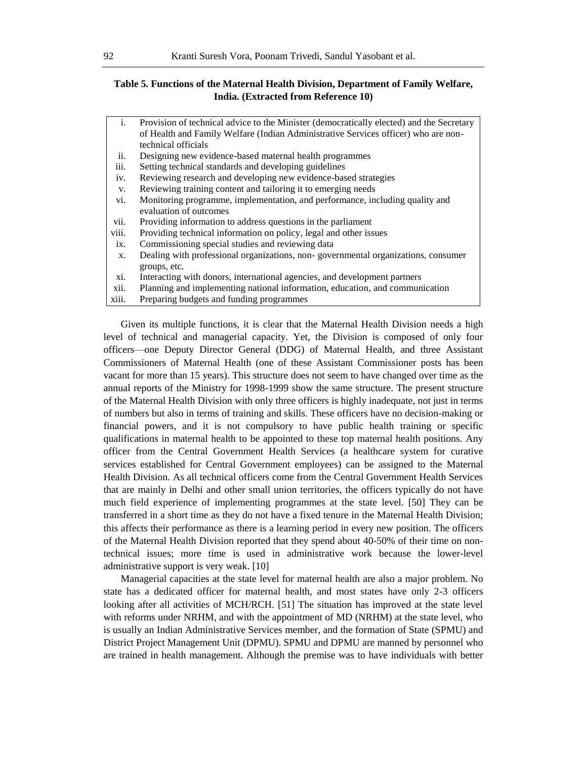# **Table 5. Functions of the Maternal Health Division, Department of Family Welfare, India. (Extracted from Reference 10)**

| $\mathbf{i}$ . | Provision of technical advice to the Minister (democratically elected) and the Secretary |
|----------------|------------------------------------------------------------------------------------------|
|                | of Health and Family Welfare (Indian Administrative Services officer) who are non-       |
|                | technical officials                                                                      |
| ii.            | Designing new evidence-based maternal health programmes                                  |
| iii.           | Setting technical standards and developing guidelines                                    |
| iv.            | Reviewing research and developing new evidence-based strategies                          |
| V.             | Reviewing training content and tailoring it to emerging needs                            |
| vi.            | Monitoring programme, implementation, and performance, including quality and             |
|                | evaluation of outcomes                                                                   |
| vii.           | Providing information to address questions in the parliament                             |
| viii.          | Providing technical information on policy, legal and other issues                        |
| ix.            | Commissioning special studies and reviewing data                                         |
| X.             | Dealing with professional organizations, non-governmental organizations, consumer        |
|                | groups, etc.                                                                             |
| xi.            | Interacting with donors, international agencies, and development partners                |
| xii.           | Planning and implementing national information, education, and communication             |
| xiii.          | Preparing budgets and funding programmes                                                 |

Given its multiple functions, it is clear that the Maternal Health Division needs a high level of technical and managerial capacity. Yet, the Division is composed of only four officers—one Deputy Director General (DDG) of Maternal Health, and three Assistant Commissioners of Maternal Health (one of these Assistant Commissioner posts has been vacant for more than 15 years). This structure does not seem to have changed over time as the annual reports of the Ministry for 1998-1999 show the same structure. The present structure of the Maternal Health Division with only three officers is highly inadequate, not just in terms of numbers but also in terms of training and skills. These officers have no decision-making or financial powers, and it is not compulsory to have public health training or specific qualifications in maternal health to be appointed to these top maternal health positions. Any officer from the Central Government Health Services (a healthcare system for curative services established for Central Government employees) can be assigned to the Maternal Health Division. As all technical officers come from the Central Government Health Services that are mainly in Delhi and other small union territories, the officers typically do not have much field experience of implementing programmes at the state level. [50] They can be transferred in a short time as they do not have a fixed tenure in the Maternal Health Division; this affects their performance as there is a learning period in every new position. The officers of the Maternal Health Division reported that they spend about 40-50% of their time on nontechnical issues; more time is used in administrative work because the lower-level administrative support is very weak. [10]

Managerial capacities at the state level for maternal health are also a major problem. No state has a dedicated officer for maternal health, and most states have only 2-3 officers looking after all activities of MCH/RCH. [51] The situation has improved at the state level with reforms under NRHM, and with the appointment of MD (NRHM) at the state level, who is usually an Indian Administrative Services member, and the formation of State (SPMU) and District Project Management Unit (DPMU). SPMU and DPMU are manned by personnel who are trained in health management. Although the premise was to have individuals with better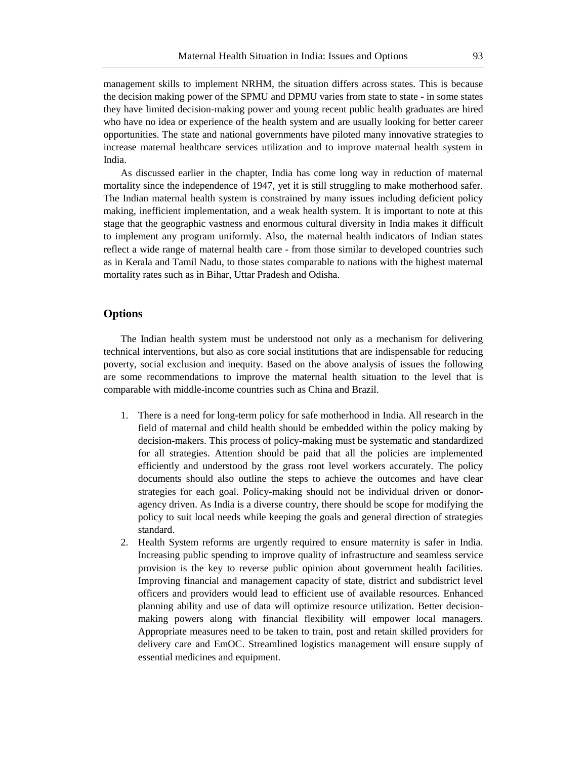management skills to implement NRHM, the situation differs across states. This is because the decision making power of the SPMU and DPMU varies from state to state - in some states they have limited decision-making power and young recent public health graduates are hired who have no idea or experience of the health system and are usually looking for better career opportunities. The state and national governments have piloted many innovative strategies to increase maternal healthcare services utilization and to improve maternal health system in India.

As discussed earlier in the chapter, India has come long way in reduction of maternal mortality since the independence of 1947, yet it is still struggling to make motherhood safer. The Indian maternal health system is constrained by many issues including deficient policy making, inefficient implementation, and a weak health system. It is important to note at this stage that the geographic vastness and enormous cultural diversity in India makes it difficult to implement any program uniformly. Also, the maternal health indicators of Indian states reflect a wide range of maternal health care - from those similar to developed countries such as in Kerala and Tamil Nadu, to those states comparable to nations with the highest maternal mortality rates such as in Bihar, Uttar Pradesh and Odisha.

#### **Options**

The Indian health system must be understood not only as a mechanism for delivering technical interventions, but also as core social institutions that are indispensable for reducing poverty, social exclusion and inequity. Based on the above analysis of issues the following are some recommendations to improve the maternal health situation to the level that is comparable with middle-income countries such as China and Brazil.

- 1. There is a need for long-term policy for safe motherhood in India. All research in the field of maternal and child health should be embedded within the policy making by decision-makers. This process of policy-making must be systematic and standardized for all strategies. Attention should be paid that all the policies are implemented efficiently and understood by the grass root level workers accurately. The policy documents should also outline the steps to achieve the outcomes and have clear strategies for each goal. Policy-making should not be individual driven or donoragency driven. As India is a diverse country, there should be scope for modifying the policy to suit local needs while keeping the goals and general direction of strategies standard.
- 2. Health System reforms are urgently required to ensure maternity is safer in India. Increasing public spending to improve quality of infrastructure and seamless service provision is the key to reverse public opinion about government health facilities. Improving financial and management capacity of state, district and subdistrict level officers and providers would lead to efficient use of available resources. Enhanced planning ability and use of data will optimize resource utilization. Better decisionmaking powers along with financial flexibility will empower local managers. Appropriate measures need to be taken to train, post and retain skilled providers for delivery care and EmOC. Streamlined logistics management will ensure supply of essential medicines and equipment.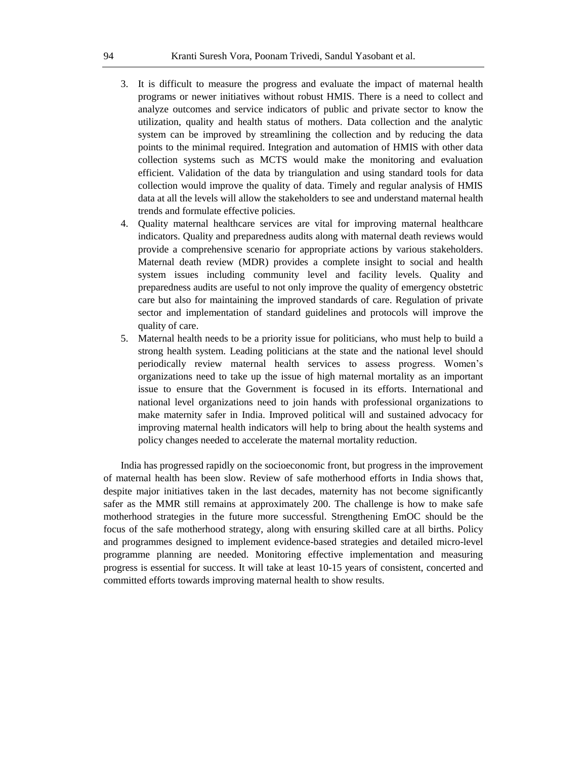- 3. It is difficult to measure the progress and evaluate the impact of maternal health programs or newer initiatives without robust HMIS. There is a need to collect and analyze outcomes and service indicators of public and private sector to know the utilization, quality and health status of mothers. Data collection and the analytic system can be improved by streamlining the collection and by reducing the data points to the minimal required. Integration and automation of HMIS with other data collection systems such as MCTS would make the monitoring and evaluation efficient. Validation of the data by triangulation and using standard tools for data collection would improve the quality of data. Timely and regular analysis of HMIS data at all the levels will allow the stakeholders to see and understand maternal health trends and formulate effective policies.
- 4. Quality maternal healthcare services are vital for improving maternal healthcare indicators. Quality and preparedness audits along with maternal death reviews would provide a comprehensive scenario for appropriate actions by various stakeholders. Maternal death review (MDR) provides a complete insight to social and health system issues including community level and facility levels. Quality and preparedness audits are useful to not only improve the quality of emergency obstetric care but also for maintaining the improved standards of care. Regulation of private sector and implementation of standard guidelines and protocols will improve the quality of care.
- 5. Maternal health needs to be a priority issue for politicians, who must help to build a strong health system. Leading politicians at the state and the national level should periodically review maternal health services to assess progress. Women's organizations need to take up the issue of high maternal mortality as an important issue to ensure that the Government is focused in its efforts. International and national level organizations need to join hands with professional organizations to make maternity safer in India. Improved political will and sustained advocacy for improving maternal health indicators will help to bring about the health systems and policy changes needed to accelerate the maternal mortality reduction.

India has progressed rapidly on the socioeconomic front, but progress in the improvement of maternal health has been slow. Review of safe motherhood efforts in India shows that, despite major initiatives taken in the last decades, maternity has not become significantly safer as the MMR still remains at approximately 200. The challenge is how to make safe motherhood strategies in the future more successful. Strengthening EmOC should be the focus of the safe motherhood strategy, along with ensuring skilled care at all births. Policy and programmes designed to implement evidence-based strategies and detailed micro-level programme planning are needed. Monitoring effective implementation and measuring progress is essential for success. It will take at least 10-15 years of consistent, concerted and committed efforts towards improving maternal health to show results.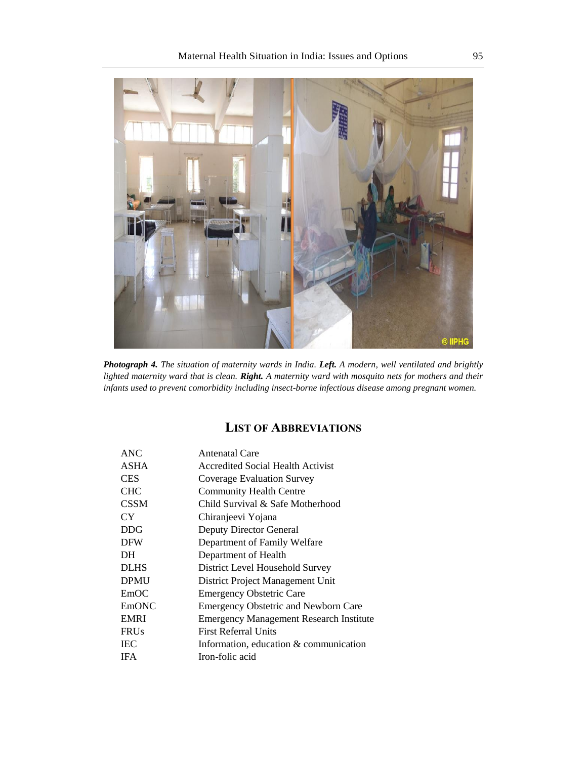

*Photograph 4. The situation of maternity wards in India. Left. A modern, well ventilated and brightly lighted maternity ward that is clean. Right. A maternity ward with mosquito nets for mothers and their infants used to prevent comorbidity including insect-borne infectious disease among pregnant women.* 

# **LIST OF ABBREVIATIONS**

| ANC.         | Antenatal Care                                 |
|--------------|------------------------------------------------|
| <b>ASHA</b>  | <b>Accredited Social Health Activist</b>       |
| <b>CES</b>   | Coverage Evaluation Survey                     |
| <b>CHC</b>   | <b>Community Health Centre</b>                 |
| <b>CSSM</b>  | Child Survival & Safe Motherhood               |
| <b>CY</b>    | Chiranjeevi Yojana                             |
| <b>DDG</b>   | <b>Deputy Director General</b>                 |
| <b>DFW</b>   | Department of Family Welfare                   |
| DH           | Department of Health                           |
| <b>DLHS</b>  | District Level Household Survey                |
| <b>DPMU</b>  | District Project Management Unit               |
| EmOC         | <b>Emergency Obstetric Care</b>                |
| <b>EmONC</b> | <b>Emergency Obstetric and Newborn Care</b>    |
| <b>EMRI</b>  | <b>Emergency Management Research Institute</b> |
| <b>FRUs</b>  | First Referral Units                           |
| <b>IEC</b>   | Information, education & communication         |
| <b>IFA</b>   | Iron-folic acid                                |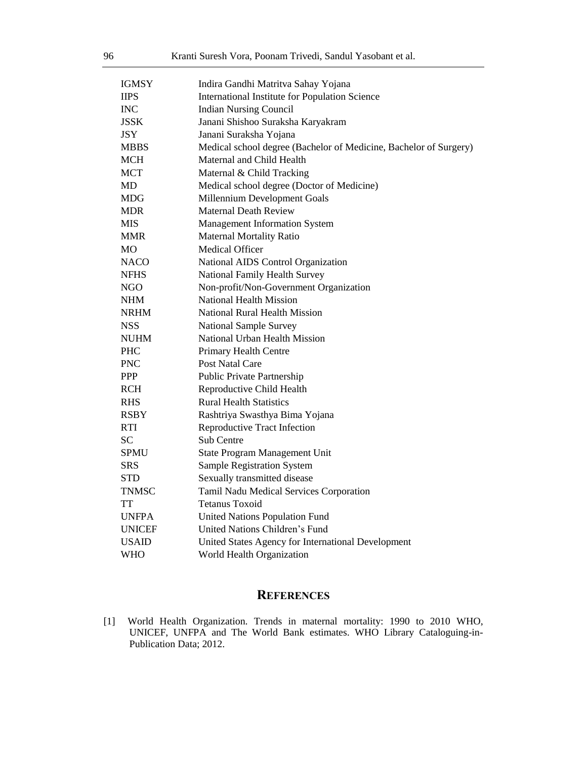| <b>IGMSY</b>  | Indira Gandhi Matritva Sahay Yojana                               |
|---------------|-------------------------------------------------------------------|
| <b>IIPS</b>   | International Institute for Population Science                    |
| INC           | <b>Indian Nursing Council</b>                                     |
| <b>JSSK</b>   | Janani Shishoo Suraksha Karyakram                                 |
| <b>JSY</b>    | Janani Suraksha Yojana                                            |
| <b>MBBS</b>   | Medical school degree (Bachelor of Medicine, Bachelor of Surgery) |
| MCH           | Maternal and Child Health                                         |
| MCT           | Maternal & Child Tracking                                         |
| MD            | Medical school degree (Doctor of Medicine)                        |
| <b>MDG</b>    | Millennium Development Goals                                      |
| MDR.          | <b>Maternal Death Review</b>                                      |
| <b>MIS</b>    | <b>Management Information System</b>                              |
| <b>MMR</b>    | <b>Maternal Mortality Ratio</b>                                   |
| <b>MO</b>     | Medical Officer                                                   |
| <b>NACO</b>   | National AIDS Control Organization                                |
| <b>NFHS</b>   | National Family Health Survey                                     |
| <b>NGO</b>    | Non-profit/Non-Government Organization                            |
| NHM           | <b>National Health Mission</b>                                    |
| <b>NRHM</b>   | National Rural Health Mission                                     |
| <b>NSS</b>    | <b>National Sample Survey</b>                                     |
| <b>NUHM</b>   | National Urban Health Mission                                     |
| <b>PHC</b>    | Primary Health Centre                                             |
| <b>PNC</b>    | Post Natal Care                                                   |
| <b>PPP</b>    | Public Private Partnership                                        |
| <b>RCH</b>    | Reproductive Child Health                                         |
| <b>RHS</b>    | <b>Rural Health Statistics</b>                                    |
| <b>RSBY</b>   | Rashtriya Swasthya Bima Yojana                                    |
| <b>RTI</b>    | <b>Reproductive Tract Infection</b>                               |
| <b>SC</b>     | Sub Centre                                                        |
| <b>SPMU</b>   | State Program Management Unit                                     |
| <b>SRS</b>    | Sample Registration System                                        |
| STD           | Sexually transmitted disease                                      |
| <b>TNMSC</b>  | Tamil Nadu Medical Services Corporation                           |
| TT            | <b>Tetanus Toxoid</b>                                             |
| <b>UNFPA</b>  | <b>United Nations Population Fund</b>                             |
| <b>UNICEF</b> | United Nations Children's Fund                                    |
| <b>USAID</b>  | United States Agency for International Development                |
| WHO           | World Health Organization                                         |

# **REFERENCES**

[1] World Health Organization. Trends in maternal mortality: 1990 to 2010 WHO, UNICEF, UNFPA and The World Bank estimates. WHO Library Cataloguing-in-Publication Data; 2012.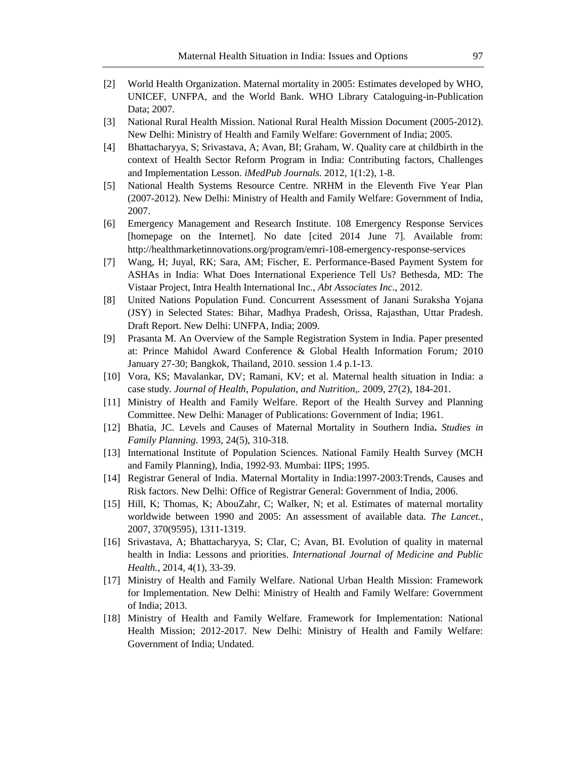- [2] World Health Organization. Maternal mortality in 2005: Estimates developed by WHO, UNICEF, UNFPA, and the World Bank. WHO Library Cataloguing-in-Publication Data; 2007.
- [3] National Rural Health Mission. National Rural Health Mission Document (2005-2012). New Delhi: Ministry of Health and Family Welfare: Government of India; 2005.
- [4] Bhattacharyya, S; Srivastava, A; Avan, BI; Graham, W. Quality care at childbirth in the context of Health Sector Reform Program in India: Contributing factors, Challenges and Implementation Lesson. *iMedPub Journals.* 2012, 1(1:2), 1-8.
- [5] National Health Systems Resource Centre. NRHM in the Eleventh Five Year Plan (2007-2012). New Delhi: Ministry of Health and Family Welfare: Government of India, 2007.
- [6] Emergency Management and Research Institute. 108 Emergency Response Services [homepage on the Internet]. No date [cited 2014 June 7]. Available from: http://healthmarketinnovations.org/program/emri-108-emergency-response-services
- [7] Wang, H; Juyal, RK; Sara, AM; Fischer, E. Performance-Based Payment System for ASHAs in India: What Does International Experience Tell Us? Bethesda, MD: The Vistaar Project, Intra Health International Inc., *Abt Associates Inc*., 2012.
- [8] United Nations Population Fund. Concurrent Assessment of Janani Suraksha Yojana (JSY) in Selected States: Bihar, Madhya Pradesh, Orissa, Rajasthan, Uttar Pradesh. Draft Report. New Delhi: UNFPA, India; 2009.
- [9] Prasanta M. An Overview of the Sample Registration System in India. Paper presented at: Prince Mahidol Award Conference & Global Health Information Forum*;* 2010 January 27-30; Bangkok, Thailand, 2010. session 1.4 p.1-13.
- [10] Vora, KS; Mavalankar, DV; Ramani, KV; et al. Maternal health situation in India: a case study. *Journal of Health*, *Population*, *and Nutrition*,*.* 2009, 27(2), 184-201.
- [11] Ministry of Health and Family Welfare. Report of the Health Survey and Planning Committee. New Delhi: Manager of Publications: Government of India; 1961.
- [12] Bhatia, JC. Levels and Causes of Maternal Mortality in Southern India**.** *Studies in Family Planning*. 1993, 24(5), 310-318.
- [13] International Institute of Population Sciences. National Family Health Survey (MCH and Family Planning), India, 1992-93. Mumbai: IIPS; 1995.
- [14] Registrar General of India. Maternal Mortality in India:1997-2003:Trends, Causes and Risk factors. New Delhi: Office of Registrar General: Government of India, 2006.
- [15] Hill, K; Thomas, K; AbouZahr, C; Walker, N; et al. Estimates of maternal mortality worldwide between 1990 and 2005: An assessment of available data. *The Lancet.*, 2007, 370(9595), 1311-1319.
- [16] Srivastava, A; Bhattacharyya, S; Clar, C; Avan, BI. Evolution of quality in maternal health in India: Lessons and priorities. *International Journal of Medicine and Public Health.*, 2014, 4(1), 33-39.
- [17] Ministry of Health and Family Welfare. National Urban Health Mission: Framework for Implementation. New Delhi: Ministry of Health and Family Welfare: Government of India; 2013.
- [18] Ministry of Health and Family Welfare. Framework for Implementation: National Health Mission; 2012-2017. New Delhi: Ministry of Health and Family Welfare: Government of India; Undated.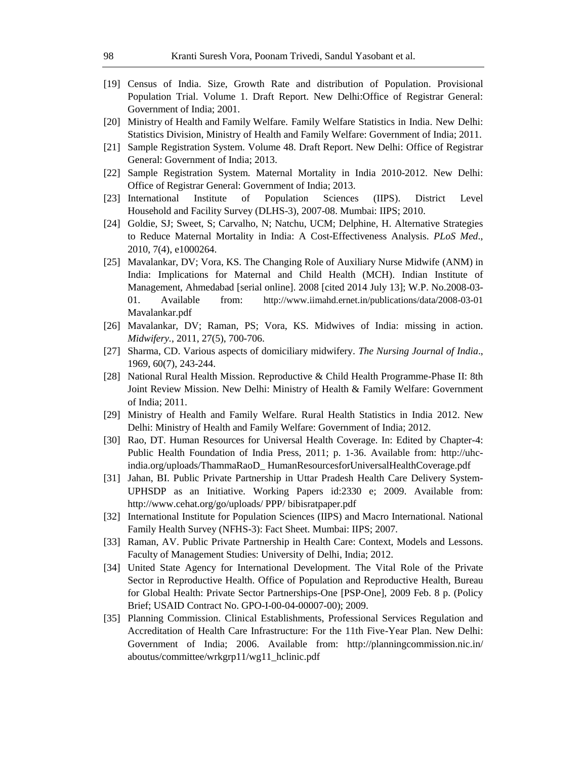- [19] Census of India. Size, Growth Rate and distribution of Population. Provisional Population Trial. Volume 1. Draft Report. New Delhi:Office of Registrar General: Government of India; 2001.
- [20] Ministry of Health and Family Welfare. Family Welfare Statistics in India. New Delhi: Statistics Division, Ministry of Health and Family Welfare: Government of India; 2011.
- [21] Sample Registration System. Volume 48. Draft Report. New Delhi: Office of Registrar General: Government of India; 2013.
- [22] Sample Registration System. Maternal Mortality in India 2010-2012. New Delhi: Office of Registrar General: Government of India; 2013.
- [23] International Institute of Population Sciences (IIPS). District Level Household and Facility Survey (DLHS-3), 2007-08. Mumbai: IIPS; 2010.
- [24] Goldie, SJ; Sweet, S; Carvalho, N; Natchu, UCM; Delphine, H. Alternative Strategies to Reduce Maternal Mortality in India: A Cost-Effectiveness Analysis. *PLoS Med*., 2010, 7(4), e1000264.
- [25] Mavalankar, DV; Vora, KS. The Changing Role of Auxiliary Nurse Midwife (ANM) in India: Implications for Maternal and Child Health (MCH). Indian Institute of Management, Ahmedabad [serial online]. 2008 [cited 2014 July 13]; W.P. No.2008-03- 01. Available from: http://www.iimahd.ernet.in/publications/data/2008-03-01 Mavalankar.pdf
- [26] Mavalankar, DV; Raman, PS; Vora, KS. Midwives of India: missing in action. *Midwifery.*, 2011, 27(5), 700-706.
- [27] Sharma, CD. Various aspects of domiciliary midwifery. *The Nursing Journal of India*., 1969, 60(7), 243-244.
- [28] National Rural Health Mission. Reproductive & Child Health Programme-Phase II: 8th Joint Review Mission. New Delhi: Ministry of Health & Family Welfare: Government of India; 2011.
- [29] Ministry of Health and Family Welfare. Rural Health Statistics in India 2012. New Delhi: Ministry of Health and Family Welfare: Government of India; 2012.
- [30] Rao, DT. Human Resources for Universal Health Coverage. In: Edited by Chapter-4: Public Health Foundation of India Press, 2011; p. 1-36. Available from: http://uhcindia.org/uploads/ThammaRaoD\_ HumanResourcesforUniversalHealthCoverage.pdf
- [31] Jahan, BI. Public Private Partnership in Uttar Pradesh Health Care Delivery System-UPHSDP as an Initiative. Working Papers id:2330 e; 2009. Available from: http://www.cehat.org/go/uploads/ PPP/ bibisratpaper.pdf
- [32] International Institute for Population Sciences (IIPS) and Macro International. National Family Health Survey (NFHS-3): Fact Sheet. Mumbai: IIPS; 2007.
- [33] Raman, AV. Public Private Partnership in Health Care: Context, Models and Lessons. Faculty of Management Studies: University of Delhi, India; 2012.
- [34] United State Agency for International Development. The Vital Role of the Private Sector in Reproductive Health. Office of Population and Reproductive Health, Bureau for Global Health: Private Sector Partnerships-One [PSP-One], 2009 Feb. 8 p. (Policy Brief; USAID Contract No. GPO-I-00-04-00007-00); 2009.
- [35] Planning Commission. Clinical Establishments, Professional Services Regulation and Accreditation of Health Care Infrastructure: For the 11th Five-Year Plan. New Delhi: Government of India; 2006. Available from: http://planningcommission.nic.in/ aboutus/committee/wrkgrp11/wg11\_hclinic.pdf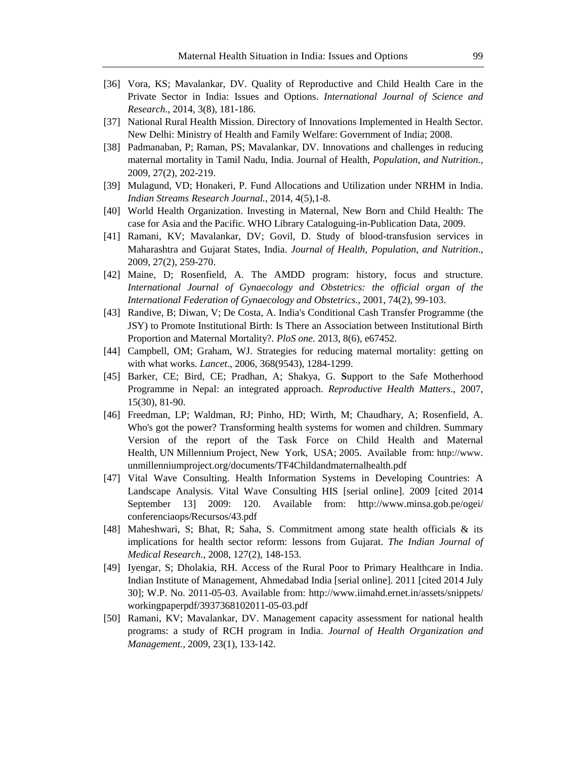- [36] Vora, KS; Mavalankar, DV. Quality of Reproductive and Child Health Care in the Private Sector in India: Issues and Options. *International Journal of Science and Research*., 2014, 3(8), 181-186.
- [37] National Rural Health Mission. Directory of Innovations Implemented in Health Sector. New Delhi: Ministry of Health and Family Welfare: Government of India; 2008.
- [38] Padmanaban, P; Raman, PS; Mavalankar, DV. Innovations and challenges in reducing maternal mortality in Tamil Nadu, India. Journal of Health, *Population*, *and Nutrition.*, 2009, 27(2), 202-219.
- [39] Mulagund, VD; Honakeri, P. Fund Allocations and Utilization under NRHM in India. *Indian Streams Research Journal.*, 2014, 4(5),1-8.
- [40] World Health Organization. Investing in Maternal, New Born and Child Health: The case for Asia and the Pacific. WHO Library Cataloguing-in-Publication Data, 2009.
- [41] Ramani, KV; Mavalankar, DV; Govil, D. Study of blood-transfusion services in Maharashtra and Gujarat States, India. *Journal of Health*, *Population*, *and Nutrition*., 2009, 27(2), 259-270.
- [42] Maine, D; Rosenfield, A. The AMDD program: history, focus and structure. *International Journal of Gynaecology and Obstetrics: the official organ of the International Federation of Gynaecology and Obstetrics.*, 2001, 74(2), 99-103.
- [43] Randive, B; Diwan, V; De Costa, A. India's Conditional Cash Transfer Programme (the JSY) to Promote Institutional Birth: Is There an Association between Institutional Birth Proportion and Maternal Mortality?*. PloS one.* 2013, 8(6), e67452.
- [44] Campbell, OM; Graham, WJ. Strategies for reducing maternal mortality: getting on with what works. *Lancet*., 2006, 368(9543), 1284-1299.
- [45] Barker, CE; Bird, CE; Pradhan, A; Shakya, G. **S**upport to the Safe Motherhood Programme in Nepal: an integrated approach. *Reproductive Health Matters*., 2007, 15(30), 81-90.
- [46] Freedman, LP; Waldman, RJ; Pinho, HD; Wirth, M; Chaudhary, A; Rosenfield, A. Who's got the power? Transforming health systems for women and children. Summary Version of the report of the Task Force on Child Health and Maternal Health, UN Millennium Project, New York, USA; 2005. Available from: http://www. unmillenniumproject.org/documents/TF4Childandmaternalhealth.pdf
- [47] Vital Wave Consulting. Health Information Systems in Developing Countries: A Landscape Analysis. Vital Wave Consulting HIS [serial online]. 2009 [cited 2014 September 13] 2009: 120. Available from: http://www.minsa.gob.pe/ogei/ conferenciaops/Recursos/43.pdf
- [48] Maheshwari, S; Bhat, R; Saha, S. Commitment among state health officials & its implications for health sector reform: lessons from Gujarat. *The Indian Journal of Medical Research.*, 2008, 127(2), 148-153.
- [49] Iyengar, S; Dholakia, RH. Access of the Rural Poor to Primary Healthcare in India. Indian Institute of Management, Ahmedabad India [serial online]. 2011 [cited 2014 July 30]; W.P. No. 2011-05-03. Available from: http://www.iimahd.ernet.in/assets/snippets/ workingpaperpdf/3937368102011-05-03.pdf
- [50] Ramani, KV; Mavalankar, DV. Management capacity assessment for national health programs: a study of RCH program in India. *Journal of Health Organization and Management.*, 2009, 23(1), 133-142.